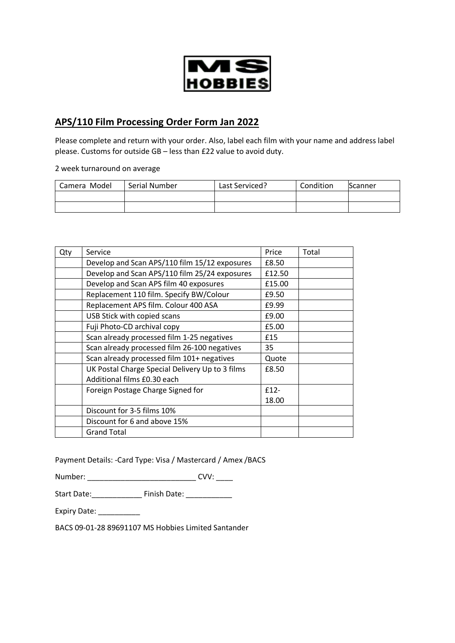

## **APS/110 Film Processing Order Form Jan 2022**

Please complete and return with your order. Also, label each film with your name and address label please. Customs for outside GB – less than £22 value to avoid duty.

2 week turnaround on average

| Camera Model | Serial Number | Last Serviced? | Condition | <b>Scanner</b> |
|--------------|---------------|----------------|-----------|----------------|
|              |               |                |           |                |
|              |               |                |           |                |

| Qty | Service                                         | Price  | Total |
|-----|-------------------------------------------------|--------|-------|
|     | Develop and Scan APS/110 film 15/12 exposures   | £8.50  |       |
|     | Develop and Scan APS/110 film 25/24 exposures   | £12.50 |       |
|     | Develop and Scan APS film 40 exposures          | £15.00 |       |
|     | Replacement 110 film. Specify BW/Colour         | £9.50  |       |
|     | Replacement APS film. Colour 400 ASA            | £9.99  |       |
|     | USB Stick with copied scans                     | £9.00  |       |
|     | Fuji Photo-CD archival copy                     | £5.00  |       |
|     | Scan already processed film 1-25 negatives      | £15    |       |
|     | Scan already processed film 26-100 negatives    | 35     |       |
|     | Scan already processed film 101+ negatives      | Quote  |       |
|     | UK Postal Charge Special Delivery Up to 3 films | £8.50  |       |
|     | Additional films £0.30 each                     |        |       |
|     | Foreign Postage Charge Signed for               | $f12-$ |       |
|     |                                                 | 18.00  |       |
|     | Discount for 3-5 films 10%                      |        |       |
|     | Discount for 6 and above 15%                    |        |       |
|     | <b>Grand Total</b>                              |        |       |

Payment Details: -Card Type: Visa / Mastercard / Amex /BACS

Number: \_\_\_\_\_\_\_\_\_\_\_\_\_\_\_\_\_\_\_\_\_\_\_\_\_\_\_\_\_\_\_\_\_ CVV: \_\_\_\_\_

Start Date:\_\_\_\_\_\_\_\_\_\_\_\_ Finish Date: \_\_\_\_\_\_\_\_\_\_\_

Expiry Date: \_\_\_\_\_\_\_\_\_\_\_

BACS 09-01-28 89691107 MS Hobbies Limited Santander